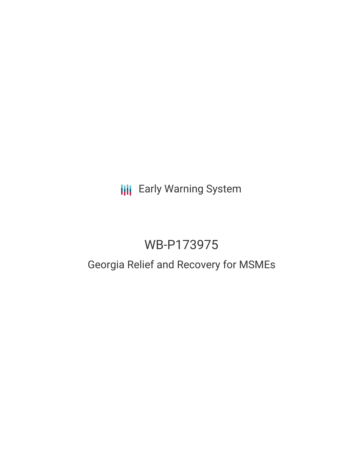**III** Early Warning System

# WB-P173975

# Georgia Relief and Recovery for MSMEs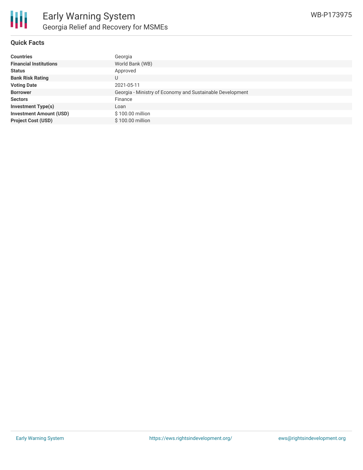

#### **Quick Facts**

| <b>Countries</b>               | Georgia                                                   |
|--------------------------------|-----------------------------------------------------------|
| <b>Financial Institutions</b>  | World Bank (WB)                                           |
| <b>Status</b>                  | Approved                                                  |
| <b>Bank Risk Rating</b>        |                                                           |
| <b>Voting Date</b>             | 2021-05-11                                                |
| <b>Borrower</b>                | Georgia - Ministry of Economy and Sustainable Development |
| <b>Sectors</b>                 | Finance                                                   |
| <b>Investment Type(s)</b>      | Loan                                                      |
| <b>Investment Amount (USD)</b> | \$100.00 million                                          |
| <b>Project Cost (USD)</b>      | \$100.00 million                                          |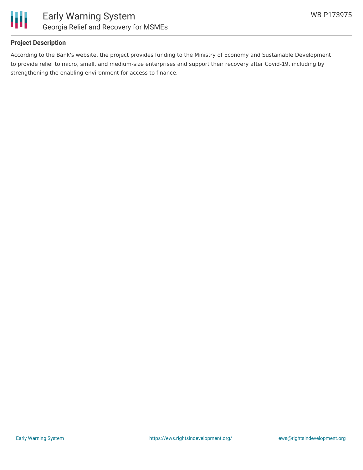

### **Project Description**

According to the Bank's website, the project provides funding to the Ministry of Economy and Sustainable Development to provide relief to micro, small, and medium-size enterprises and support their recovery after Covid-19, including by strengthening the enabling environment for access to finance.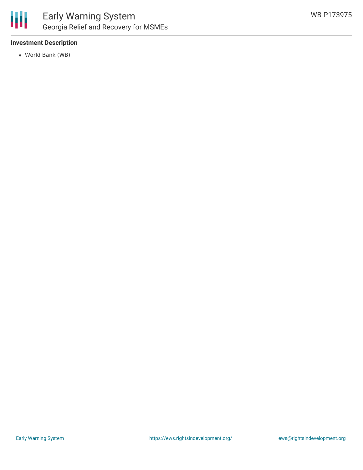

## **Investment Description**

World Bank (WB)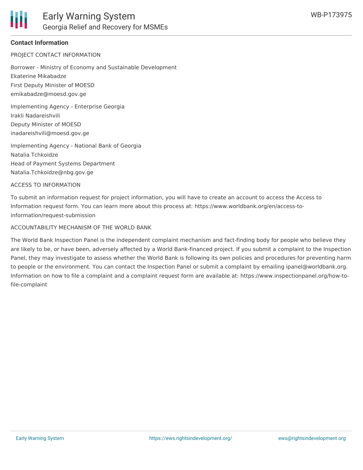## **Contact Information**

PROJECT CONTACT INFORMATION

Borrower - Ministry of Economy and Sustainable Development Ekaterine Mikabadze First Deputy Minister of MOESD emikabadze@moesd.gov.ge

Implementing Agency - Enterprise Georgia Irakli Nadareishvili Deputy Minister of MOESD inadareishvili@moesd.gov.ge

Implementing Agency - National Bank of Georgia Natalia Tchkoidze Head of Payment Systems Department Natalia.Tchkoidze@nbg.gov.ge

#### ACCESS TO INFORMATION

To submit an information request for project information, you will have to create an account to access the Access to Information request form. You can learn more about this process at: https://www.worldbank.org/en/access-toinformation/request-submission

#### ACCOUNTABILITY MECHANISM OF THE WORLD BANK

The World Bank Inspection Panel is the independent complaint mechanism and fact-finding body for people who believe they are likely to be, or have been, adversely affected by a World Bank-financed project. If you submit a complaint to the Inspection Panel, they may investigate to assess whether the World Bank is following its own policies and procedures for preventing harm to people or the environment. You can contact the Inspection Panel or submit a complaint by emailing ipanel@worldbank.org. Information on how to file a complaint and a complaint request form are available at: https://www.inspectionpanel.org/how-tofile-complaint